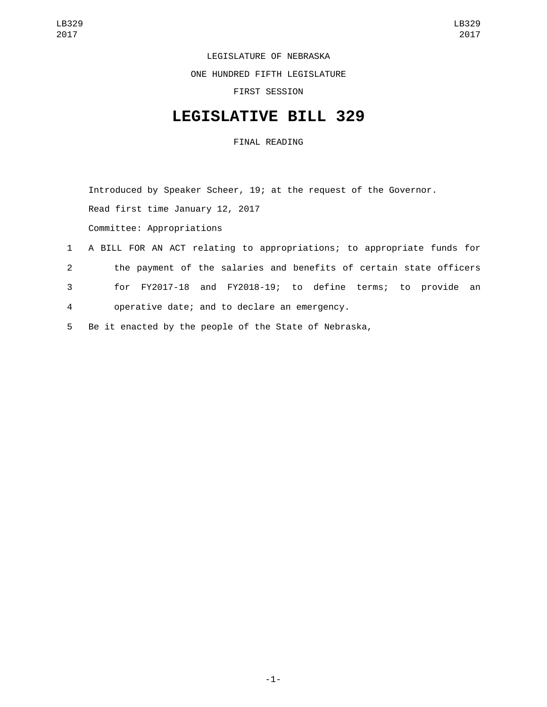LEGISLATURE OF NEBRASKA

ONE HUNDRED FIFTH LEGISLATURE

FIRST SESSION

## **LEGISLATIVE BILL 329**

FINAL READING

Introduced by Speaker Scheer, 19; at the request of the Governor.

Read first time January 12, 2017

Committee: Appropriations

- 1 A BILL FOR AN ACT relating to appropriations; to appropriate funds for 2 the payment of the salaries and benefits of certain state officers 3 for FY2017-18 and FY2018-19; to define terms; to provide an operative date; and to declare an emergency.4
- 5 Be it enacted by the people of the State of Nebraska,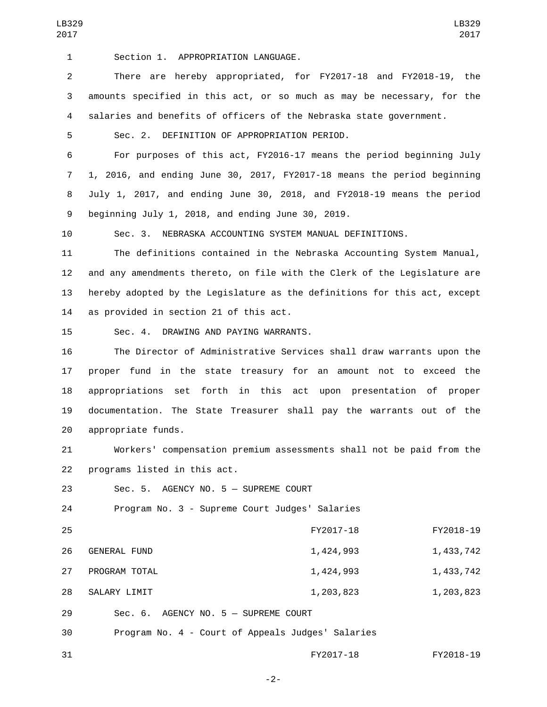1 Section 1. APPROPRIATION LANGUAGE.

2 There are hereby appropriated, for FY2017-18 and FY2018-19, the 3 amounts specified in this act, or so much as may be necessary, for the 4 salaries and benefits of officers of the Nebraska state government.

5 Sec. 2. DEFINITION OF APPROPRIATION PERIOD.

 For purposes of this act, FY2016-17 means the period beginning July 1, 2016, and ending June 30, 2017, FY2017-18 means the period beginning July 1, 2017, and ending June 30, 2018, and FY2018-19 means the period 9 beginning July 1, 2018, and ending June 30, 2019.

10 Sec. 3. NEBRASKA ACCOUNTING SYSTEM MANUAL DEFINITIONS.

 The definitions contained in the Nebraska Accounting System Manual, and any amendments thereto, on file with the Clerk of the Legislature are hereby adopted by the Legislature as the definitions for this act, except 14 as provided in section 21 of this act.

15 Sec. 4. DRAWING AND PAYING WARRANTS.

 The Director of Administrative Services shall draw warrants upon the proper fund in the state treasury for an amount not to exceed the appropriations set forth in this act upon presentation of proper documentation. The State Treasurer shall pay the warrants out of the 20 appropriate funds.

21 Workers' compensation premium assessments shall not be paid from the 22 programs listed in this act.

23 Sec. 5. AGENCY NO. 5 - SUPREME COURT

24 Program No. 3 - Supreme Court Judges' Salaries

| 25 |                                                   | FY2017-18 | FY2018-19 |
|----|---------------------------------------------------|-----------|-----------|
| 26 | <b>GENERAL FUND</b>                               | 1,424,993 | 1,433,742 |
| 27 | PROGRAM TOTAL                                     | 1,424,993 | 1,433,742 |
| 28 | SALARY LIMIT                                      | 1,203,823 | 1,203,823 |
| 29 | $Sec. 6. AGENCY NO. 5 - SUPREME COURT$            |           |           |
| 30 | Program No. 4 - Court of Appeals Judges' Salaries |           |           |

31 FY2017-18 FY2018-19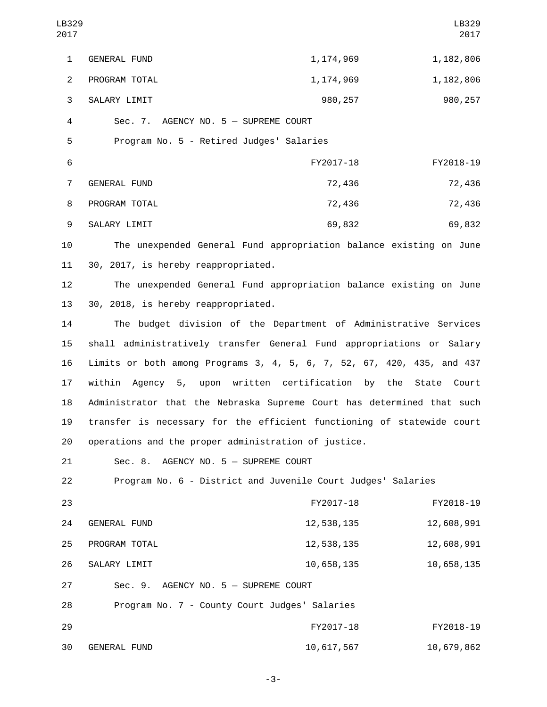| LB329<br>2017           |                                                                        |                                                                    | LB329<br>2017 |
|-------------------------|------------------------------------------------------------------------|--------------------------------------------------------------------|---------------|
| $\mathbf{1}$            | <b>GENERAL FUND</b>                                                    | 1, 174, 969                                                        | 1, 182, 806   |
| $\overline{2}$          | PROGRAM TOTAL                                                          | 1, 174, 969                                                        | 1, 182, 806   |
| 3                       | SALARY LIMIT                                                           | 980, 257                                                           | 980,257       |
| $\overline{\mathbf{4}}$ | Sec. 7. AGENCY NO. 5 - SUPREME COURT                                   |                                                                    |               |
| 5                       | Program No. 5 - Retired Judges' Salaries                               |                                                                    |               |
| $6\phantom{1}$          |                                                                        | FY2017-18                                                          | FY2018-19     |
| $\overline{7}$          | GENERAL FUND                                                           | 72,436                                                             | 72,436        |
| 8                       | PROGRAM TOTAL                                                          | 72,436                                                             | 72,436        |
| 9                       | SALARY LIMIT                                                           | 69,832                                                             | 69,832        |
| 10                      |                                                                        | The unexpended General Fund appropriation balance existing on June |               |
| 11                      | 30, 2017, is hereby reappropriated.                                    |                                                                    |               |
| 12                      |                                                                        | The unexpended General Fund appropriation balance existing on June |               |
| 13                      | 30, 2018, is hereby reappropriated.                                    |                                                                    |               |
| 14                      |                                                                        | The budget division of the Department of Administrative Services   |               |
| 15                      | shall administratively transfer General Fund appropriations or Salary  |                                                                    |               |
| 16                      | Limits or both among Programs 3, 4, 5, 6, 7, 52, 67, 420, 435, and 437 |                                                                    |               |
| 17                      | within Agency 5, upon written certification by the State Court         |                                                                    |               |
| 18                      | Administrator that the Nebraska Supreme Court has determined that such |                                                                    |               |
| 19                      | transfer is necessary for the efficient functioning of statewide court |                                                                    |               |
| 20                      | operations and the proper administration of justice.                   |                                                                    |               |
| 21                      | Sec. 8. AGENCY NO. 5 - SUPREME COURT                                   |                                                                    |               |
| 22                      |                                                                        | Program No. 6 - District and Juvenile Court Judges' Salaries       |               |
| 23                      |                                                                        | FY2017-18                                                          | FY2018-19     |
| 24                      | GENERAL FUND                                                           | 12,538,135                                                         | 12,608,991    |
| 25                      | PROGRAM TOTAL                                                          | 12,538,135                                                         | 12,608,991    |
| 26                      | SALARY LIMIT                                                           | 10,658,135                                                         | 10,658,135    |
| 27                      | Sec. 9. AGENCY NO. 5 - SUPREME COURT                                   |                                                                    |               |
| 28                      | Program No. 7 - County Court Judges' Salaries                          |                                                                    |               |
| 29                      |                                                                        | FY2017-18                                                          | FY2018-19     |

-3-

30 GENERAL FUND 10,617,567 10,679,862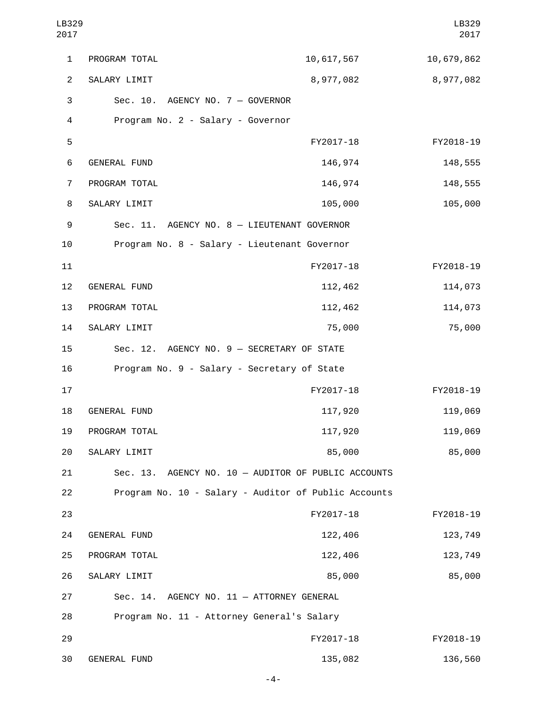| LB329<br>2017  |                                                      |            | LB329<br>2017 |
|----------------|------------------------------------------------------|------------|---------------|
| 1              | PROGRAM TOTAL                                        | 10,617,567 | 10,679,862    |
| $\overline{2}$ | SALARY LIMIT                                         | 8,977,082  | 8,977,082     |
| 3              | Sec. 10. AGENCY NO. 7 - GOVERNOR                     |            |               |
| 4              | Program No. 2 - Salary - Governor                    |            |               |
| 5              |                                                      | FY2017-18  | FY2018-19     |
| 6              | <b>GENERAL FUND</b>                                  | 146,974    | 148,555       |
| 7              | PROGRAM TOTAL                                        | 146,974    | 148,555       |
| 8              | SALARY LIMIT                                         | 105,000    | 105,000       |
| 9              | Sec. 11. AGENCY NO. 8 - LIEUTENANT GOVERNOR          |            |               |
| 10             | Program No. 8 - Salary - Lieutenant Governor         |            |               |
| 11             |                                                      | FY2017-18  | FY2018-19     |
| 12             | <b>GENERAL FUND</b>                                  | 112,462    | 114,073       |
| 13             | PROGRAM TOTAL                                        | 112,462    | 114,073       |
| 14             | SALARY LIMIT                                         | 75,000     | 75,000        |
| 15             | Sec. 12. AGENCY NO. 9 - SECRETARY OF STATE           |            |               |
| 16             | Program No. 9 - Salary - Secretary of State          |            |               |
| 17             |                                                      | FY2017-18  | FY2018-19     |
| 18             | <b>GENERAL FUND</b>                                  | 117,920    | 119,069       |
| 19             | PROGRAM TOTAL                                        | 117,920    | 119,069       |
| 20             | SALARY LIMIT                                         | 85,000     | 85,000        |
| 21             | Sec. 13. AGENCY NO. 10 - AUDITOR OF PUBLIC ACCOUNTS  |            |               |
| 22             | Program No. 10 - Salary - Auditor of Public Accounts |            |               |
| 23             |                                                      | FY2017-18  | FY2018-19     |
| 24             | <b>GENERAL FUND</b>                                  | 122,406    | 123,749       |
| 25             | PROGRAM TOTAL                                        | 122,406    | 123,749       |
| 26             | SALARY LIMIT                                         | 85,000     | 85,000        |
| 27             | Sec. 14. AGENCY NO. 11 - ATTORNEY GENERAL            |            |               |
| 28             | Program No. 11 - Attorney General's Salary           |            |               |
| 29             |                                                      | FY2017-18  | FY2018-19     |
| 30             | GENERAL FUND                                         | 135,082    | 136,560       |

-4-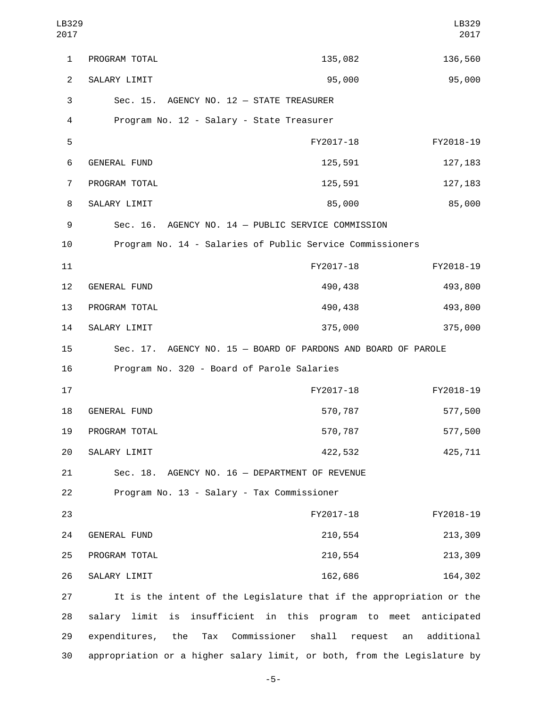| LB329<br>2017  |                                            |                                                                      | LB329<br>2017               |
|----------------|--------------------------------------------|----------------------------------------------------------------------|-----------------------------|
| $\mathbf{1}$   | PROGRAM TOTAL                              | 135,082                                                              | 136,560                     |
| $\overline{2}$ | SALARY LIMIT                               | 95,000                                                               | 95,000                      |
| 3              | Sec. 15. AGENCY NO. 12 - STATE TREASURER   |                                                                      |                             |
| 4              | Program No. 12 - Salary - State Treasurer  |                                                                      |                             |
| 5              |                                            | FY2017-18                                                            | FY2018-19                   |
| 6              | GENERAL FUND                               | 125,591                                                              | 127, 183                    |
| 7              | PROGRAM TOTAL                              | 125,591                                                              | 127, 183                    |
| 8              | SALARY LIMIT                               | 85,000                                                               | 85,000                      |
| 9              |                                            | Sec. 16. AGENCY NO. 14 - PUBLIC SERVICE COMMISSION                   |                             |
| 10             |                                            | Program No. 14 - Salaries of Public Service Commissioners            |                             |
| 11             |                                            | FY2017-18                                                            | FY2018-19                   |
| 12             | <b>GENERAL FUND</b>                        | 490,438                                                              | 493,800                     |
| 13             | PROGRAM TOTAL                              | 490,438                                                              | 493,800                     |
| 14             | SALARY LIMIT                               | 375,000                                                              | 375,000                     |
| 15             | Sec. 17.                                   | AGENCY NO. 15 - BOARD OF PARDONS AND BOARD OF PAROLE                 |                             |
| 16             | Program No. 320 - Board of Parole Salaries |                                                                      |                             |
| 17             |                                            | FY2017-18                                                            | FY2018-19                   |
| 18             | <b>GENERAL FUND</b>                        | 570,787                                                              | 577,500                     |
| 19             | PROGRAM TOTAL                              | 570,787                                                              | 577,500                     |
| 20             | SALARY LIMIT                               | 422,532                                                              | 425,711                     |
| 21             |                                            | Sec. 18. AGENCY NO. 16 - DEPARTMENT OF REVENUE                       |                             |
| 22             | Program No. 13 - Salary - Tax Commissioner |                                                                      |                             |
| 23             |                                            | FY2017-18                                                            | FY2018-19                   |
| 24             | GENERAL FUND                               | 210,554                                                              | 213,309                     |
| 25             | PROGRAM TOTAL                              | 210,554                                                              | 213,309                     |
| 26             | SALARY LIMIT                               | 162,686                                                              | 164,302                     |
| 27             |                                            | It is the intent of the Legislature that if the appropriation or the |                             |
| 28             | limit<br>is<br>salary                      | insufficient in this<br>program to                                   | meet<br>anticipated         |
| 29             | expenditures,<br>the<br>Tax                | Commissioner<br>shall                                                | additional<br>request<br>an |

-5-

30 appropriation or a higher salary limit, or both, from the Legislature by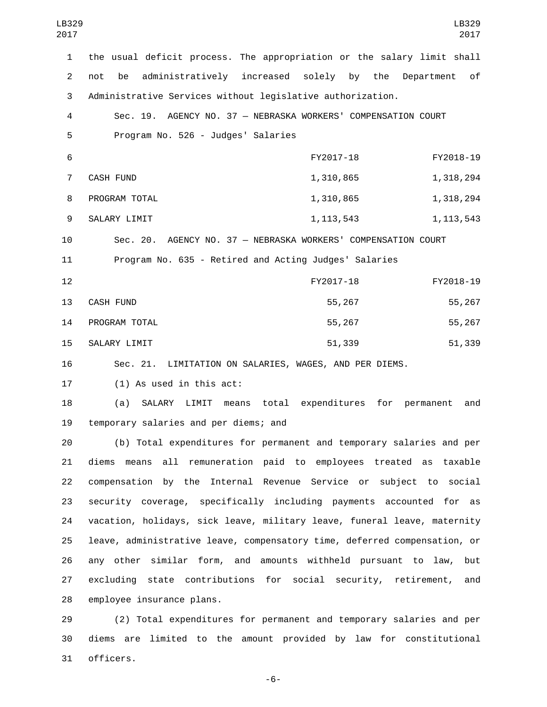| LB329<br>2017  | LB329<br>2017                                                                    |
|----------------|----------------------------------------------------------------------------------|
| $\mathbf{1}$   | the usual deficit process. The appropriation or the salary limit shall           |
| $\overline{2}$ | administratively increased solely by the<br>of<br>not<br>be<br>Department        |
| 3              | Administrative Services without legislative authorization.                       |
| 4              | Sec. 19. AGENCY NO. 37 - NEBRASKA WORKERS' COMPENSATION COURT                    |
| 5              | Program No. 526 - Judges' Salaries                                               |
| 6              | FY2017-18<br>FY2018-19                                                           |
| $\overline{7}$ | <b>CASH FUND</b><br>1,318,294<br>1,310,865                                       |
| 8              | PROGRAM TOTAL<br>1,318,294<br>1,310,865                                          |
| 9              | SALARY LIMIT<br>1, 113, 543<br>1, 113, 543                                       |
| 10             | Sec. 20. AGENCY NO. 37 - NEBRASKA WORKERS' COMPENSATION COURT                    |
| 11             | Program No. 635 - Retired and Acting Judges' Salaries                            |
| 12             | FY2017-18<br>FY2018-19                                                           |
| 13             | 55,267<br><b>CASH FUND</b><br>55,267                                             |
| 14             | 55,267<br>55,267<br>PROGRAM TOTAL                                                |
| 15             | SALARY LIMIT<br>51,339<br>51,339                                                 |
| 16             | Sec. 21. LIMITATION ON SALARIES, WAGES, AND PER DIEMS.                           |
| 17             | $(1)$ As used in this act:                                                       |
| 18             | total<br>expenditures for<br>(a)<br>SALARY<br>LIMIT<br>means<br>permanent<br>and |
| 19             | temporary salaries and per diems; and                                            |
| 20             | (b) Total expenditures for permanent and temporary salaries and per              |
| 21             | diems means all remuneration paid to employees treated as taxable                |
| 22             | compensation by the Internal Revenue Service or subject to social                |
| 23             | security coverage, specifically including payments accounted for as              |
| 24             | vacation, holidays, sick leave, military leave, funeral leave, maternity         |
| 25             | leave, administrative leave, compensatory time, deferred compensation, or        |
| 26             | any other similar form, and amounts withheld pursuant to law,<br>but             |
| 27             | excluding state contributions for social security, retirement,<br>and            |
| 28             | employee insurance plans.                                                        |

 (2) Total expenditures for permanent and temporary salaries and per diems are limited to the amount provided by law for constitutional 31 officers.

-6-